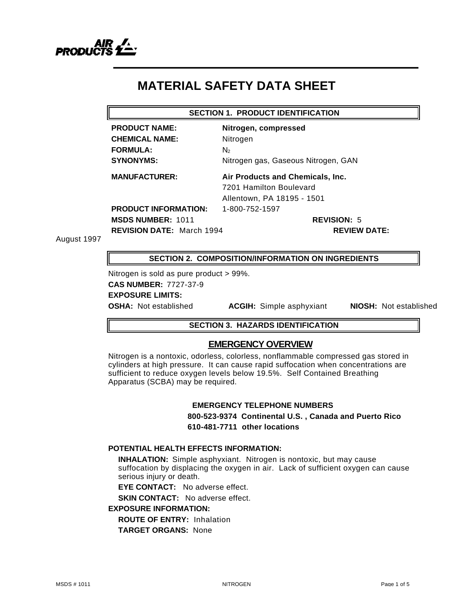

# **MATERIAL SAFETY DATA SHEET**

#### **SECTION 1. PRODUCT IDENTIFICATION**

**CHEMICAL NAME:** Nitrogen **FORMULA:** N<sub>2</sub>

**PRODUCT NAME: Nitrogen, compressed SYNONYMS:** Nitrogen gas, Gaseous Nitrogen, GAN

**MANUFACTURER: Air Products and Chemicals, Inc.** 7201 Hamilton Boulevard Allentown, PA 18195 - 1501

**PRODUCT INFORMATION:** 1-800-752-1597 **MSDS NUMBER:** 1011 **REVISION:** 5

**REVISION DATE:** March 1994 **REVIEW DATE:**

August 1997

**SECTION 2. COMPOSITION/INFORMATION ON INGREDIENTS**

Nitrogen is sold as pure product > 99%. **CAS NUMBER:** 7727-37-9 **EXPOSURE LIMITS:**

**OSHA:** Not established **ACGIH:** Simple asphyxiant **NIOSH:** Not established

# **SECTION 3. HAZARDS IDENTIFICATION**

# **EMERGENCY OVERVIEW**

Nitrogen is a nontoxic, odorless, colorless, nonflammable compressed gas stored in cylinders at high pressure. It can cause rapid suffocation when concentrations are sufficient to reduce oxygen levels below 19.5%. Self Contained Breathing Apparatus (SCBA) may be required.

#### **EMERGENCY TELEPHONE NUMBERS**

**800-523-9374 Continental U.S. , Canada and Puerto Rico 610-481-7711 other locations**

# **POTENTIAL HEALTH EFFECTS INFORMATION:**

**INHALATION:** Simple asphyxiant. Nitrogen is nontoxic, but may cause suffocation by displacing the oxygen in air. Lack of sufficient oxygen can cause serious injury or death.

**EYE CONTACT:** No adverse effect.

**SKIN CONTACT:** No adverse effect.

# **EXPOSURE INFORMATION:**

**ROUTE OF ENTRY:** Inhalation

**TARGET ORGANS:** None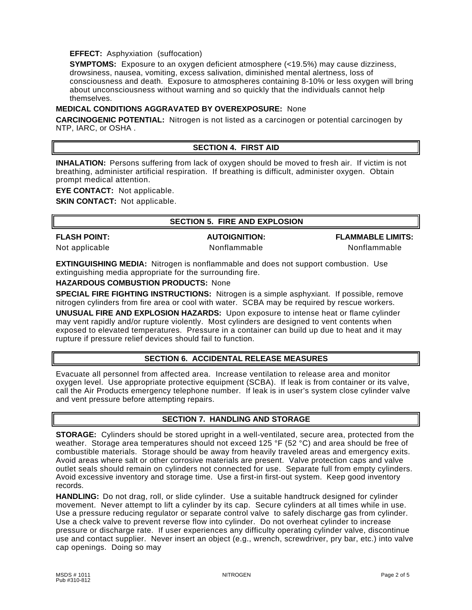# **EFFECT:** Asphyxiation (suffocation)

**SYMPTOMS:** Exposure to an oxygen deficient atmosphere (<19.5%) may cause dizziness, drowsiness, nausea, vomiting, excess salivation, diminished mental alertness, loss of consciousness and death. Exposure to atmospheres containing 8-10% or less oxygen will bring about unconsciousness without warning and so quickly that the individuals cannot help themselves.

# **MEDICAL CONDITIONS AGGRAVATED BY OVEREXPOSURE:** None

**CARCINOGENIC POTENTIAL:** Nitrogen is not listed as a carcinogen or potential carcinogen by NTP, IARC, or OSHA .

# **SECTION 4. FIRST AID**

**INHALATION:** Persons suffering from lack of oxygen should be moved to fresh air. If victim is not breathing, administer artificial respiration. If breathing is difficult, administer oxygen. Obtain prompt medical attention.

**EYE CONTACT:** Not applicable.

**SKIN CONTACT:** Not applicable.

# **SECTION 5. FIRE AND EXPLOSION**

**FLASH POINT: AUTOIGNITION: FLAMMABLE LIMITS:**

Not applicable **Nonflammable** Nonflammable **Nonflammable** Nonflammable

**EXTINGUISHING MEDIA:** Nitrogen is nonflammable and does not support combustion. Use extinguishing media appropriate for the surrounding fire.

**HAZARDOUS COMBUSTION PRODUCTS:** None

**SPECIAL FIRE FIGHTING INSTRUCTIONS:** Nitrogen is a simple asphyxiant. If possible, remove nitrogen cylinders from fire area or cool with water. SCBA may be required by rescue workers.

**UNUSUAL FIRE AND EXPLOSION HAZARDS:** Upon exposure to intense heat or flame cylinder may vent rapidly and/or rupture violently. Most cylinders are designed to vent contents when exposed to elevated temperatures. Pressure in a container can build up due to heat and it may rupture if pressure relief devices should fail to function.

# **SECTION 6. ACCIDENTAL RELEASE MEASURES**

Evacuate all personnel from affected area. Increase ventilation to release area and monitor oxygen level. Use appropriate protective equipment (SCBA). If leak is from container or its valve, call the Air Products emergency telephone number. If leak is in user's system close cylinder valve and vent pressure before attempting repairs.

# **SECTION 7. HANDLING AND STORAGE**

**STORAGE:** Cylinders should be stored upright in a well-ventilated, secure area, protected from the weather. Storage area temperatures should not exceed 125 °F (52 °C) and area should be free of combustible materials. Storage should be away from heavily traveled areas and emergency exits. Avoid areas where salt or other corrosive materials are present. Valve protection caps and valve outlet seals should remain on cylinders not connected for use. Separate full from empty cylinders. Avoid excessive inventory and storage time. Use a first-in first-out system. Keep good inventory records.

**HANDLING:** Do not drag, roll, or slide cylinder. Use a suitable handtruck designed for cylinder movement. Never attempt to lift a cylinder by its cap. Secure cylinders at all times while in use. Use a pressure reducing regulator or separate control valve to safely discharge gas from cylinder. Use a check valve to prevent reverse flow into cylinder. Do not overheat cylinder to increase pressure or discharge rate. If user experiences any difficulty operating cylinder valve, discontinue use and contact supplier. Never insert an object (e.g., wrench, screwdriver, pry bar, etc.) into valve cap openings. Doing so may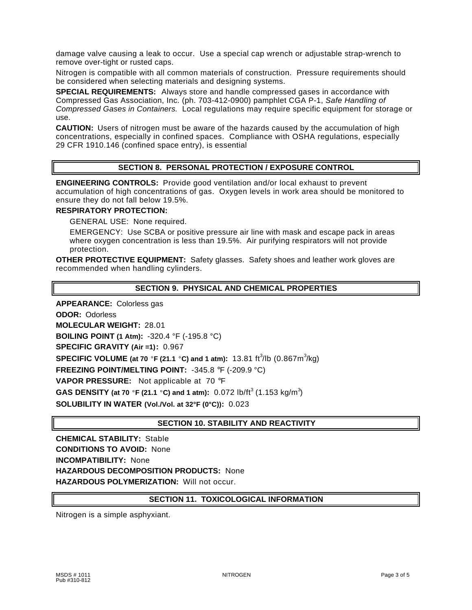damage valve causing a leak to occur. Use a special cap wrench or adjustable strap-wrench to remove over-tight or rusted caps.

Nitrogen is compatible with all common materials of construction. Pressure requirements should be considered when selecting materials and designing systems.

**SPECIAL REQUIREMENTS:** Always store and handle compressed gases in accordance with Compressed Gas Association, Inc. (ph. 703-412-0900) pamphlet CGA P-1, *Safe Handling of Compressed Gases in Containers.* Local regulations may require specific equipment for storage or use.

**CAUTION:** Users of nitrogen must be aware of the hazards caused by the accumulation of high concentrations, especially in confined spaces. Compliance with OSHA regulations, especially 29 CFR 1910.146 (confined space entry), is essential

# **SECTION 8. PERSONAL PROTECTION / EXPOSURE CONTROL**

**ENGINEERING CONTROLS:** Provide good ventilation and/or local exhaust to prevent accumulation of high concentrations of gas. Oxygen levels in work area should be monitored to ensure they do not fall below 19.5%.

#### **RESPIRATORY PROTECTION:**

GENERAL USE: None required.

EMERGENCY: Use SCBA or positive pressure air line with mask and escape pack in areas where oxygen concentration is less than 19.5%. Air purifying respirators will not provide protection.

**OTHER PROTECTIVE EQUIPMENT:** Safety glasses. Safety shoes and leather work gloves are recommended when handling cylinders.

# **SECTION 9. PHYSICAL AND CHEMICAL PROPERTIES**

**APPEARANCE:** Colorless gas **ODOR:** Odorless **MOLECULAR WEIGHT:** 28.01 **BOILING POINT (1 Atm):** -320.4 °F (-195.8 °C) **SPECIFIC GRAVITY (Air =1):** 0.967 **SPECIFIC VOLUME** (at 70 °F (21.1 °C) and 1 atm): 13.81 ft<sup>3</sup>/lb (0.867m<sup>3</sup>/kg) **FREEZING POINT/MELTING POINT:** -345.8 °F (-209.9 °C) **VAPOR PRESSURE:** Not applicable at 70 °F **GAS DENSITY (at 70 °F (21.1 °C) and 1 atm):** 0.072 lb/ft<sup>3</sup> (1.153 kg/m<sup>3</sup>) **SOLUBILITY IN WATER (Vol./Vol. at 32°F (0°C)):** 0.023

# **SECTION 10. STABILITY AND REACTIVITY**

**CHEMICAL STABILITY:** Stable **CONDITIONS TO AVOID:** None **INCOMPATIBILITY:** None **HAZARDOUS DECOMPOSITION PRODUCTS:** None **HAZARDOUS POLYMERIZATION:** Will not occur.

### **SECTION 11. TOXICOLOGICAL INFORMATION**

Nitrogen is a simple asphyxiant.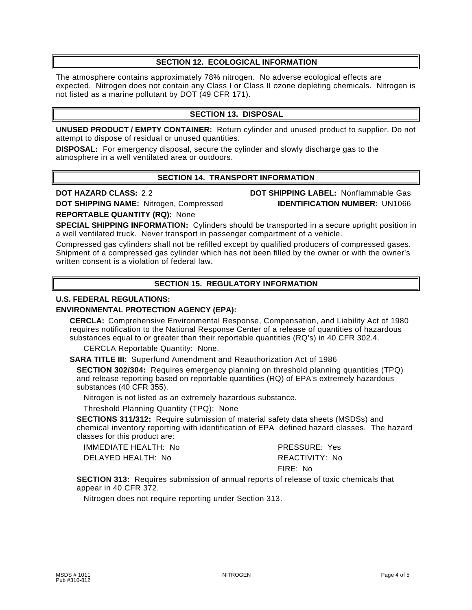# **SECTION 12. ECOLOGICAL INFORMATION**

The atmosphere contains approximately 78% nitrogen. No adverse ecological effects are expected. Nitrogen does not contain any Class I or Class II ozone depleting chemicals. Nitrogen is not listed as a marine pollutant by DOT (49 CFR 171).

# **SECTION 13. DISPOSAL**

**UNUSED PRODUCT / EMPTY CONTAINER:** Return cylinder and unused product to supplier. Do not attempt to dispose of residual or unused quantities.

**DISPOSAL:** For emergency disposal, secure the cylinder and slowly discharge gas to the atmosphere in a well ventilated area or outdoors.

# **SECTION 14. TRANSPORT INFORMATION**

**DOT SHIPPING NAME:** Nitrogen, Compressed **IDENTIFICATION NUMBER:** UN1066

**DOT HAZARD CLASS:** 2.2 **DOT SHIPPING LABEL:** Nonflammable Gas

**REPORTABLE QUANTITY (RQ):** None

**SPECIAL SHIPPING INFORMATION:** Cylinders should be transported in a secure upright position in a well ventilated truck. Never transport in passenger compartment of a vehicle.

Compressed gas cylinders shall not be refilled except by qualified producers of compressed gases. Shipment of a compressed gas cylinder which has not been filled by the owner or with the owner's written consent is a violation of federal law.

# **SECTION 15. REGULATORY INFORMATION**

### **U.S. FEDERAL REGULATIONS:**

# **ENVIRONMENTAL PROTECTION AGENCY (EPA):**

**CERCLA:** Comprehensive Environmental Response, Compensation, and Liability Act of 1980 requires notification to the National Response Center of a release of quantities of hazardous substances equal to or greater than their reportable quantities (RQ's) in 40 CFR 302.4.

CERCLA Reportable Quantity: None.

**SARA TITLE III:** Superfund Amendment and Reauthorization Act of 1986

**SECTION 302/304:** Requires emergency planning on threshold planning quantities (TPQ) and release reporting based on reportable quantities (RQ) of EPA's extremely hazardous substances (40 CFR 355).

Nitrogen is not listed as an extremely hazardous substance.

Threshold Planning Quantity (TPQ): None

**SECTIONS 311/312:** Require submission of material safety data sheets (MSDSs) and chemical inventory reporting with identification of EPA defined hazard classes. The hazard classes for this product are:

IMMEDIATE HEALTH: No PRESSURE: Yes DELAYED HEALTH: No REACTIVITY: No

FIRE: No

**SECTION 313:** Requires submission of annual reports of release of toxic chemicals that appear in 40 CFR 372.

Nitrogen does not require reporting under Section 313.